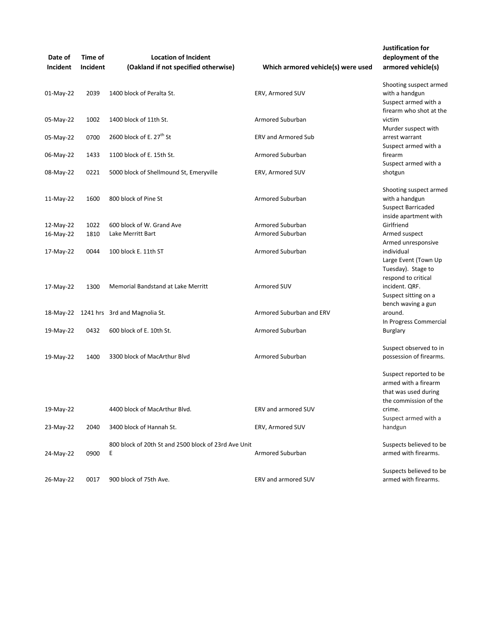| Date of<br>Incident | Time of<br>Incident | <b>Location of Incident</b><br>(Oakland if not specified otherwise) | Which armored vehicle(s) were used | Justification for<br>deployment of the<br>armored vehicle(s)                                    |
|---------------------|---------------------|---------------------------------------------------------------------|------------------------------------|-------------------------------------------------------------------------------------------------|
| 01-May-22           | 2039                | 1400 block of Peralta St.                                           | ERV, Armored SUV                   | Shooting suspect armed<br>with a handgun<br>Suspect armed with a<br>firearm who shot at the     |
| 05-May-22           | 1002                | 1400 block of 11th St.                                              | Armored Suburban                   | victim<br>Murder suspect with                                                                   |
| 05-May-22           | 0700                | 2600 block of E. 27 <sup>th</sup> St                                | <b>ERV and Armored Sub</b>         | arrest warrant<br>Suspect armed with a                                                          |
| 06-May-22           | 1433                | 1100 block of E. 15th St.                                           | Armored Suburban                   | firearm<br>Suspect armed with a                                                                 |
| 08-May-22           | 0221                | 5000 block of Shellmound St, Emeryville                             | ERV, Armored SUV                   | shotgun                                                                                         |
| 11-May-22           | 1600                | 800 block of Pine St                                                | Armored Suburban                   | Shooting suspect armed<br>with a handgun<br><b>Suspect Barricaded</b><br>inside apartment with  |
| 12-May-22           | 1022                | 600 block of W. Grand Ave                                           | Armored Suburban                   | Girlfriend                                                                                      |
| 16-May-22           | 1810                | Lake Merritt Bart                                                   | Armored Suburban                   | Armed suspect<br>Armed unresponsive                                                             |
| 17-May-22           | 0044                | 100 block E. 11th ST                                                | Armored Suburban                   | individual<br>Large Event (Town Up<br>Tuesday). Stage to<br>respond to critical                 |
| 17-May-22           | 1300                | Memorial Bandstand at Lake Merritt                                  | Armored SUV                        | incident. QRF.<br>Suspect sitting on a<br>bench waving a gun                                    |
|                     |                     | 18-May-22 1241 hrs 3rd and Magnolia St.                             | Armored Suburban and ERV           | around.<br>In Progress Commercial                                                               |
| 19-May-22           | 0432                | 600 block of E. 10th St.                                            | Armored Suburban                   | <b>Burglary</b>                                                                                 |
| 19-May-22           | 1400                | 3300 block of MacArthur Blvd                                        | Armored Suburban                   | Suspect observed to in<br>possession of firearms.                                               |
|                     |                     |                                                                     |                                    | Suspect reported to be<br>armed with a firearm<br>that was used during<br>the commission of the |
| 19-May-22           |                     | 4400 block of MacArthur Blvd.                                       | ERV and armored SUV                | crime.<br>Suspect armed with a                                                                  |
| 23-May-22           | 2040                | 3400 block of Hannah St.                                            | ERV, Armored SUV                   | handgun                                                                                         |
| 24-May-22           | 0900                | 800 block of 20th St and 2500 block of 23rd Ave Unit<br>Ε           | Armored Suburban                   | Suspects believed to be<br>armed with firearms.                                                 |
| 26-May-22           | 0017                | 900 block of 75th Ave.                                              | ERV and armored SUV                | Suspects believed to be<br>armed with firearms.                                                 |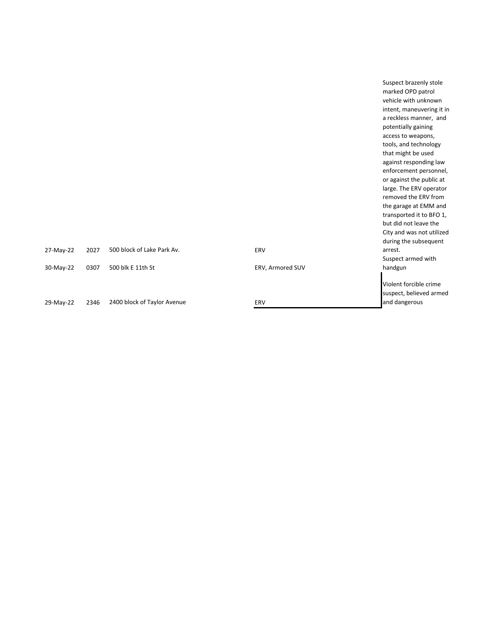| a reckless manner, and<br>potentially gaining<br>access to weapons,<br>tools, and technology<br>that might be used |
|--------------------------------------------------------------------------------------------------------------------|
|                                                                                                                    |
|                                                                                                                    |
|                                                                                                                    |
|                                                                                                                    |
|                                                                                                                    |
| against responding law                                                                                             |
| enforcement personnel,                                                                                             |
| or against the public at                                                                                           |
| large. The ERV operator                                                                                            |
| removed the ERV from                                                                                               |
| the garage at EMM and                                                                                              |
| transported it to BFO 1,                                                                                           |
| but did not leave the                                                                                              |
| City and was not utilized                                                                                          |
| during the subsequent                                                                                              |
|                                                                                                                    |
| Suspect armed with                                                                                                 |
|                                                                                                                    |
|                                                                                                                    |
| Violent forcible crime                                                                                             |
| suspect, believed armed                                                                                            |
| and dangerous                                                                                                      |
|                                                                                                                    |

Suspect brazenly stole marked OPD patrol vehicle with unknown